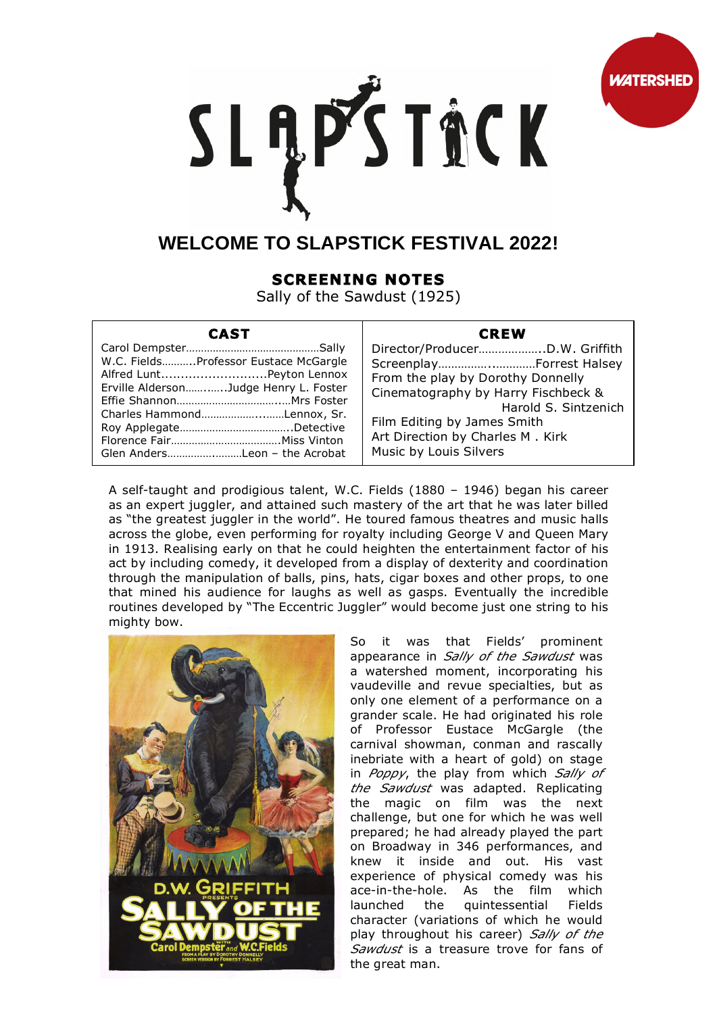

# SLĄPŚTACK

# **WELCOME TO SLAPSTICK FESTIVAL 2022!**

# **SCREENING NOTES**

Sally of the Sawdust (1925)

## **CAST**

### **CREW**

Director/Producer………………..D.W. Griffith Screenplay……………..…………Forrest Halsey From the play by Dorothy Donnelly Cinematography by Harry Fischbeck & Harold S. Sintzenich Film Editing by James Smith Art Direction by Charles M . Kirk Music by Louis Silvers

A self-taught and prodigious talent, W.C. Fields (1880 – 1946) began his career as an expert juggler, and attained such mastery of the art that he was later billed as "the greatest juggler in the world". He toured famous theatres and music halls across the globe, even performing for royalty including George V and Queen Mary in 1913. Realising early on that he could heighten the entertainment factor of his act by including comedy, it developed from a display of dexterity and coordination through the manipulation of balls, pins, hats, cigar boxes and other props, to one that mined his audience for laughs as well as gasps. Eventually the incredible routines developed by "The Eccentric Juggler" would become just one string to his mighty bow.



So it was that Fields' prominent appearance in *Sally of the Sawdust* was a watershed moment, incorporating his vaudeville and revue specialties, but as only one element of a performance on a grander scale. He had originated his role of Professor Eustace McGargle (the carnival showman, conman and rascally inebriate with a heart of gold) on stage in *Poppy*, the play from which *Sally of the Sawdust* was adapted. Replicating the magic on film was the next challenge, but one for which he was well prepared; he had already played the part on Broadway in 346 performances, and knew it inside and out. His vast experience of physical comedy was his ace-in-the-hole. As the film which launched the quintessential Fields character (variations of which he would play throughout his career) *Sally of the Sawdust* is a treasure trove for fans of the great man.